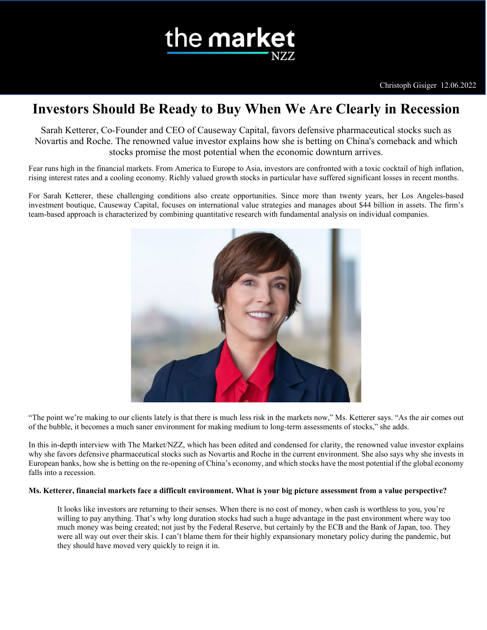

# **Investors Should Be Ready to Buy When We Are Clearly in Recession**

Sarah Ketterer, Co-Founder and CEO of Causeway Capital, favors defensive pharmaceutical stocks such as Novartis and Roche. The renowned value investor explains how she is betting on China's comeback and which stocks promise the most potential when the economic downturn arrives.

Fear runs high in the financial markets. From America to Europe to Asia, investors are confronted with a toxic cocktail of high inflation, rising interest rates and a cooling economy. Richly valued growth stocks in particular have suffered significant losses in recent months.

For Sarah Ketterer, these challenging conditions also create opportunities. Since more than twenty years, her Los Angeles-based investment boutique, Causeway Capital, focuses on international value strategies and manages about \$44 billion in assets. The firm's team-based approach is characterized by combining quantitative research with fundamental analysis on individual companies.



"The point we're making to our clients lately is that there is much less risk in the markets now," Ms. Ketterer says. "As the air comes out of the bubble, it becomes a much saner environment for making medium to long-term assessments of stocks," she adds.

In this in-depth interview with The Market/NZZ, which has been edited and condensed for clarity, the renowned value investor explains why she favors defensive pharmaceutical stocks such as Novartis and Roche in the current environment. She also says why she invests in European banks, how she is betting on the re-opening of China's economy, and which stocks have the most potential if the global economy falls into a recession.

# **Ms. Ketterer, financial markets face a difficult environment. What is your big picture assessment from a value perspective?**

It looks like investors are returning to their senses. When there is no cost of money, when cash is worthless to you, you're willing to pay anything. That's why long duration stocks had such a huge advantage in the past environment where way too much money was being created; not just by the Federal Reserve, but certainly by the ECB and the Bank of Japan, too. They were all way out over their skis. I can't blame them for their highly expansionary monetary policy during the pandemic, but they should have moved very quickly to reign it in.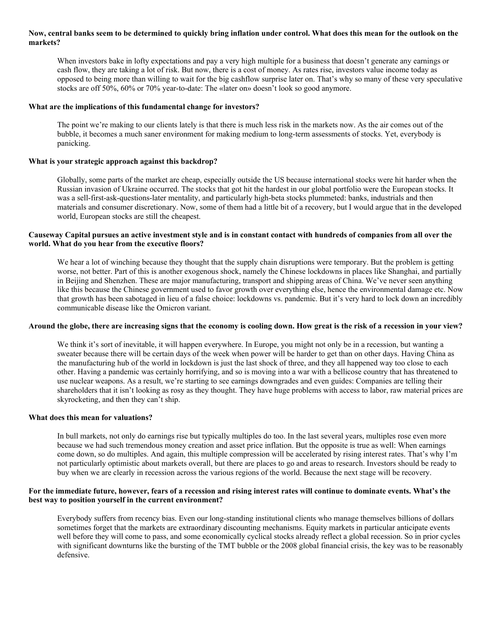# **Now, central banks seem to be determined to quickly bring inflation under control. What does this mean for the outlook on the markets?**

When investors bake in lofty expectations and pay a very high multiple for a business that doesn't generate any earnings or cash flow, they are taking a lot of risk. But now, there is a cost of money. As rates rise, investors value income today as opposed to being more than willing to wait for the big cashflow surprise later on. That's why so many of these very speculative stocks are off 50%, 60% or 70% year-to-date: The «later on» doesn't look so good anymore.

#### **What are the implications of this fundamental change for investors?**

The point we're making to our clients lately is that there is much less risk in the markets now. As the air comes out of the bubble, it becomes a much saner environment for making medium to long-term assessments of stocks. Yet, everybody is panicking.

#### **What is your strategic approach against this backdrop?**

Globally, some parts of the market are cheap, especially outside the US because international stocks were hit harder when the Russian invasion of Ukraine occurred. The stocks that got hit the hardest in our global portfolio were the European stocks. It was a sell-first-ask-questions-later mentality, and particularly high-beta stocks plummeted: banks, industrials and then materials and consumer discretionary. Now, some of them had a little bit of a recovery, but I would argue that in the developed world, European stocks are still the cheapest.

# **Causeway Capital pursues an active investment style and is in constant contact with hundreds of companies from all over the world. What do you hear from the executive floors?**

We hear a lot of winching because they thought that the supply chain disruptions were temporary. But the problem is getting worse, not better. Part of this is another exogenous shock, namely the Chinese lockdowns in places like Shanghai, and partially in Beijing and Shenzhen. These are major manufacturing, transport and shipping areas of China. We've never seen anything like this because the Chinese government used to favor growth over everything else, hence the environmental damage etc. Now that growth has been sabotaged in lieu of a false choice: lockdowns vs. pandemic. But it's very hard to lock down an incredibly communicable disease like the Omicron variant.

#### **Around the globe, there are increasing signs that the economy is cooling down. How great is the risk of a recession in your view?**

We think it's sort of inevitable, it will happen everywhere. In Europe, you might not only be in a recession, but wanting a sweater because there will be certain days of the week when power will be harder to get than on other days. Having China as the manufacturing hub of the world in lockdown is just the last shock of three, and they all happened way too close to each other. Having a pandemic was certainly horrifying, and so is moving into a war with a bellicose country that has threatened to use nuclear weapons. As a result, we're starting to see earnings downgrades and even guides: Companies are telling their shareholders that it isn't looking as rosy as they thought. They have huge problems with access to labor, raw material prices are skyrocketing, and then they can't ship.

#### **What does this mean for valuations?**

In bull markets, not only do earnings rise but typically multiples do too. In the last several years, multiples rose even more because we had such tremendous money creation and asset price inflation. But the opposite is true as well: When earnings come down, so do multiples. And again, this multiple compression will be accelerated by rising interest rates. That's why I'm not particularly optimistic about markets overall, but there are places to go and areas to research. Investors should be ready to buy when we are clearly in recession across the various regions of the world. Because the next stage will be recovery.

# **For the immediate future, however, fears of a recession and rising interest rates will continue to dominate events. What's the best way to position yourself in the current environment?**

Everybody suffers from recency bias. Even our long-standing institutional clients who manage themselves billions of dollars sometimes forget that the markets are extraordinary discounting mechanisms. Equity markets in particular anticipate events well before they will come to pass, and some economically cyclical stocks already reflect a global recession. So in prior cycles with significant downturns like the bursting of the TMT bubble or the 2008 global financial crisis, the key was to be reasonably defensive.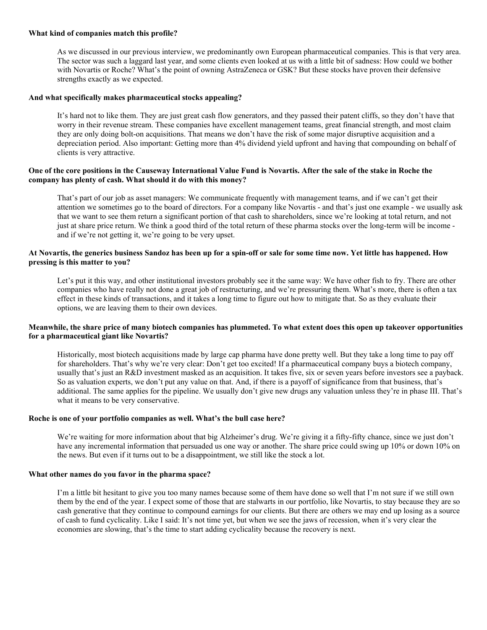### **What kind of companies match this profile?**

As we discussed in our previous interview, we predominantly own European pharmaceutical companies. This is that very area. The sector was such a laggard last year, and some clients even looked at us with a little bit of sadness: How could we bother with Novartis or Roche? What's the point of owning AstraZeneca or GSK? But these stocks have proven their defensive strengths exactly as we expected.

## **And what specifically makes pharmaceutical stocks appealing?**

It's hard not to like them. They are just great cash flow generators, and they passed their patent cliffs, so they don't have that worry in their revenue stream. These companies have excellent management teams, great financial strength, and most claim they are only doing bolt-on acquisitions. That means we don't have the risk of some major disruptive acquisition and a depreciation period. Also important: Getting more than 4% dividend yield upfront and having that compounding on behalf of clients is very attractive.

# **One of the core positions in the Causeway International Value Fund is Novartis. After the sale of the stake in Roche the company has plenty of cash. What should it do with this money?**

That's part of our job as asset managers: We communicate frequently with management teams, and if we can't get their attention we sometimes go to the board of directors. For a company like Novartis - and that's just one example - we usually ask that we want to see them return a significant portion of that cash to shareholders, since we're looking at total return, and not just at share price return. We think a good third of the total return of these pharma stocks over the long-term will be income and if we're not getting it, we're going to be very upset.

# **At Novartis, the generics business Sandoz has been up for a spin-off or sale for some time now. Yet little has happened. How pressing is this matter to you?**

Let's put it this way, and other institutional investors probably see it the same way: We have other fish to fry. There are other companies who have really not done a great job of restructuring, and we're pressuring them. What's more, there is often a tax effect in these kinds of transactions, and it takes a long time to figure out how to mitigate that. So as they evaluate their options, we are leaving them to their own devices.

# **Meanwhile, the share price of many biotech companies has plummeted. To what extent does this open up takeover opportunities for a pharmaceutical giant like Novartis?**

Historically, most biotech acquisitions made by large cap pharma have done pretty well. But they take a long time to pay off for shareholders. That's why we're very clear: Don't get too excited! If a pharmaceutical company buys a biotech company, usually that's just an R&D investment masked as an acquisition. It takes five, six or seven years before investors see a payback. So as valuation experts, we don't put any value on that. And, if there is a payoff of significance from that business, that's additional. The same applies for the pipeline. We usually don't give new drugs any valuation unless they're in phase III. That's what it means to be very conservative.

#### **Roche is one of your portfolio companies as well. What's the bull case here?**

We're waiting for more information about that big Alzheimer's drug. We're giving it a fifty-fifty chance, since we just don't have any incremental information that persuaded us one way or another. The share price could swing up 10% or down 10% on the news. But even if it turns out to be a disappointment, we still like the stock a lot.

#### **What other names do you favor in the pharma space?**

I'm a little bit hesitant to give you too many names because some of them have done so well that I'm not sure if we still own them by the end of the year. I expect some of those that are stalwarts in our portfolio, like Novartis, to stay because they are so cash generative that they continue to compound earnings for our clients. But there are others we may end up losing as a source of cash to fund cyclicality. Like I said: It's not time yet, but when we see the jaws of recession, when it's very clear the economies are slowing, that's the time to start adding cyclicality because the recovery is next.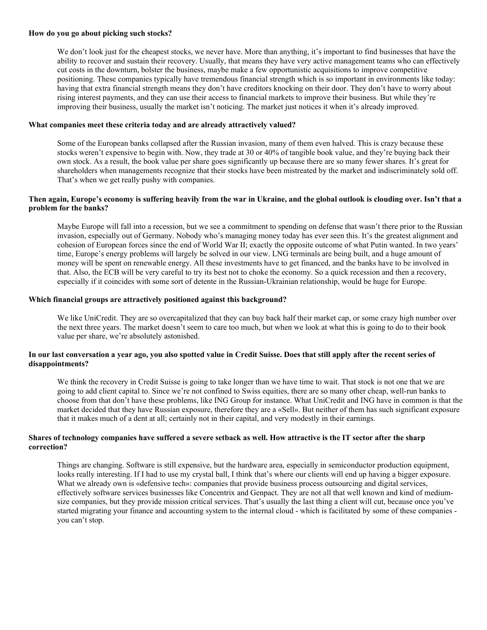#### **How do you go about picking such stocks?**

We don't look just for the cheapest stocks, we never have. More than anything, it's important to find businesses that have the ability to recover and sustain their recovery. Usually, that means they have very active management teams who can effectively cut costs in the downturn, bolster the business, maybe make a few opportunistic acquisitions to improve competitive positioning. These companies typically have tremendous financial strength which is so important in environments like today: having that extra financial strength means they don't have creditors knocking on their door. They don't have to worry about rising interest payments, and they can use their access to financial markets to improve their business. But while they're improving their business, usually the market isn't noticing. The market just notices it when it's already improved.

#### **What companies meet these criteria today and are already attractively valued?**

Some of the European banks collapsed after the Russian invasion, many of them even halved. This is crazy because these stocks weren't expensive to begin with. Now, they trade at 30 or 40% of tangible book value, and they're buying back their own stock. As a result, the book value per share goes significantly up because there are so many fewer shares. It's great for shareholders when managements recognize that their stocks have been mistreated by the market and indiscriminately sold off. That's when we get really pushy with companies.

# **Then again, Europe's economy is suffering heavily from the war in Ukraine, and the global outlook is clouding over. Isn't that a problem for the banks?**

Maybe Europe will fall into a recession, but we see a commitment to spending on defense that wasn't there prior to the Russian invasion, especially out of Germany. Nobody who's managing money today has ever seen this. It's the greatest alignment and cohesion of European forces since the end of World War II; exactly the opposite outcome of what Putin wanted. In two years' time, Europe's energy problems will largely be solved in our view. LNG terminals are being built, and a huge amount of money will be spent on renewable energy. All these investments have to get financed, and the banks have to be involved in that. Also, the ECB will be very careful to try its best not to choke the economy. So a quick recession and then a recovery, especially if it coincides with some sort of detente in the Russian-Ukrainian relationship, would be huge for Europe.

#### **Which financial groups are attractively positioned against this background?**

We like UniCredit. They are so overcapitalized that they can buy back half their market cap, or some crazy high number over the next three years. The market doesn't seem to care too much, but when we look at what this is going to do to their book value per share, we're absolutely astonished.

# **In our last conversation a year ago, you also spotted value in Credit Suisse. Does that still apply after the recent series of disappointments?**

We think the recovery in Credit Suisse is going to take longer than we have time to wait. That stock is not one that we are going to add client capital to. Since we're not confined to Swiss equities, there are so many other cheap, well-run banks to choose from that don't have these problems, like ING Group for instance. What UniCredit and ING have in common is that the market decided that they have Russian exposure, therefore they are a «Sell». But neither of them has such significant exposure that it makes much of a dent at all; certainly not in their capital, and very modestly in their earnings.

# **Shares of technology companies have suffered a severe setback as well. How attractive is the IT sector after the sharp correction?**

Things are changing. Software is still expensive, but the hardware area, especially in semiconductor production equipment, looks really interesting. If I had to use my crystal ball, I think that's where our clients will end up having a bigger exposure. What we already own is «defensive tech»: companies that provide business process outsourcing and digital services, effectively software services businesses like Concentrix and Genpact. They are not all that well known and kind of mediumsize companies, but they provide mission critical services. That's usually the last thing a client will cut, because once you've started migrating your finance and accounting system to the internal cloud - which is facilitated by some of these companies you can't stop.